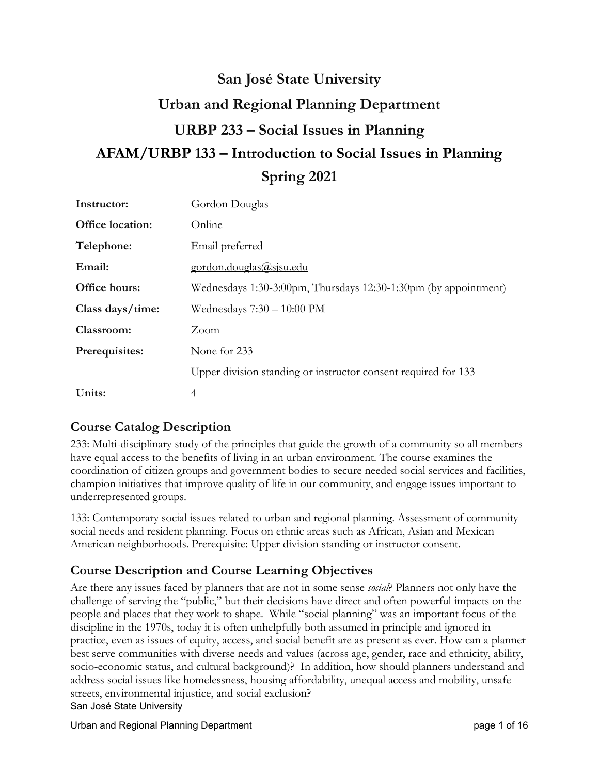# **San José State University Urban and Regional Planning Department URBP 233 – Social Issues in Planning AFAM/URBP 133 – Introduction to Social Issues in Planning Spring 2021**

| Instructor:             | Gordon Douglas                                                  |
|-------------------------|-----------------------------------------------------------------|
| <b>Office location:</b> | Online                                                          |
| Telephone:              | Email preferred                                                 |
| Email:                  | gordon.douglas@sjsu.edu                                         |
| Office hours:           | Wednesdays 1:30-3:00pm, Thursdays 12:30-1:30pm (by appointment) |
| Class days/time:        | Wednesdays 7:30 - 10:00 PM                                      |
| Classroom:              | Zoom                                                            |
| Prerequisites:          | None for 233                                                    |
|                         | Upper division standing or instructor consent required for 133  |
| Units:                  | 4                                                               |

# **Course Catalog Description**

233: Multi-disciplinary study of the principles that guide the growth of a community so all members have equal access to the benefits of living in an urban environment. The course examines the coordination of citizen groups and government bodies to secure needed social services and facilities, champion initiatives that improve quality of life in our community, and engage issues important to underrepresented groups.

133: Contemporary social issues related to urban and regional planning. Assessment of community social needs and resident planning. Focus on ethnic areas such as African, Asian and Mexican American neighborhoods. Prerequisite: Upper division standing or instructor consent.

# **Course Description and Course Learning Objectives**

Are there any issues faced by planners that are not in some sense *social*? Planners not only have the challenge of serving the "public," but their decisions have direct and often powerful impacts on the people and places that they work to shape. While "social planning" was an important focus of the discipline in the 1970s, today it is often unhelpfully both assumed in principle and ignored in practice, even as issues of equity, access, and social benefit are as present as ever. How can a planner best serve communities with diverse needs and values (across age, gender, race and ethnicity, ability, socio-economic status, and cultural background)? In addition, how should planners understand and address social issues like homelessness, housing affordability, unequal access and mobility, unsafe streets, environmental injustice, and social exclusion?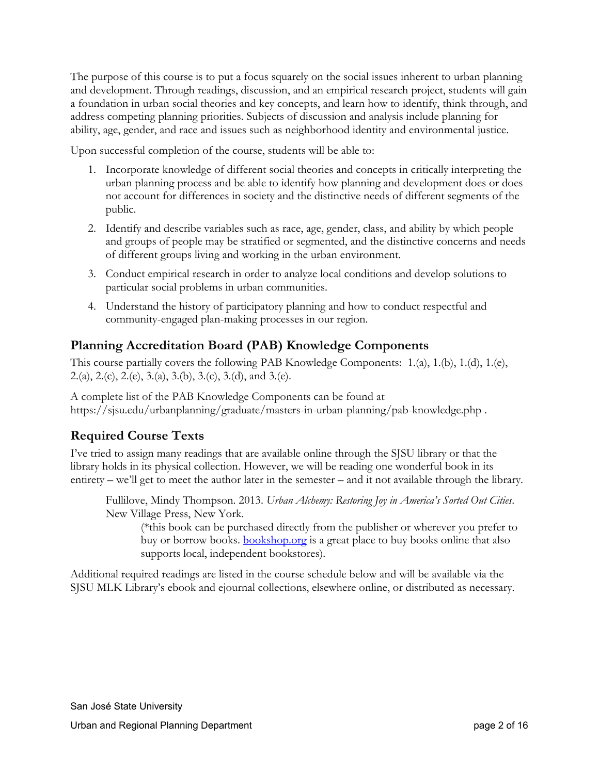The purpose of this course is to put a focus squarely on the social issues inherent to urban planning and development. Through readings, discussion, and an empirical research project, students will gain a foundation in urban social theories and key concepts, and learn how to identify, think through, and address competing planning priorities. Subjects of discussion and analysis include planning for ability, age, gender, and race and issues such as neighborhood identity and environmental justice.

Upon successful completion of the course, students will be able to:

- 1. Incorporate knowledge of different social theories and concepts in critically interpreting the urban planning process and be able to identify how planning and development does or does not account for differences in society and the distinctive needs of different segments of the public.
- 2. Identify and describe variables such as race, age, gender, class, and ability by which people and groups of people may be stratified or segmented, and the distinctive concerns and needs of different groups living and working in the urban environment.
- 3. Conduct empirical research in order to analyze local conditions and develop solutions to particular social problems in urban communities.
- 4. Understand the history of participatory planning and how to conduct respectful and community-engaged plan-making processes in our region.

# **Planning Accreditation Board (PAB) Knowledge Components**

This course partially covers the following PAB Knowledge Components: 1.(a), 1.(b), 1.(d), 1.(e), 2.(a), 2.(c), 2.(e), 3.(a), 3.(b), 3.(c), 3.(d), and 3.(e).

A complete list of the PAB Knowledge Components can be found at https://sjsu.edu/urbanplanning/graduate/masters-in-urban-planning/pab-knowledge.php .

# **Required Course Texts**

I've tried to assign many readings that are available online through the SJSU library or that the library holds in its physical collection. However, we will be reading one wonderful book in its entirety – we'll get to meet the author later in the semester – and it not available through the library.

Fullilove, Mindy Thompson. 2013. *Urban Alchemy: Restoring Joy in America's Sorted Out Cities*. New Village Press, New York.

(\*this book can be purchased directly from the publisher or wherever you prefer to buy or borrow books. **[bookshop.org](http://www.bookshop.org/)** is a great place to buy books online that also supports local, independent bookstores).

Additional required readings are listed in the course schedule below and will be available via the SJSU MLK Library's ebook and ejournal collections, elsewhere online, or distributed as necessary.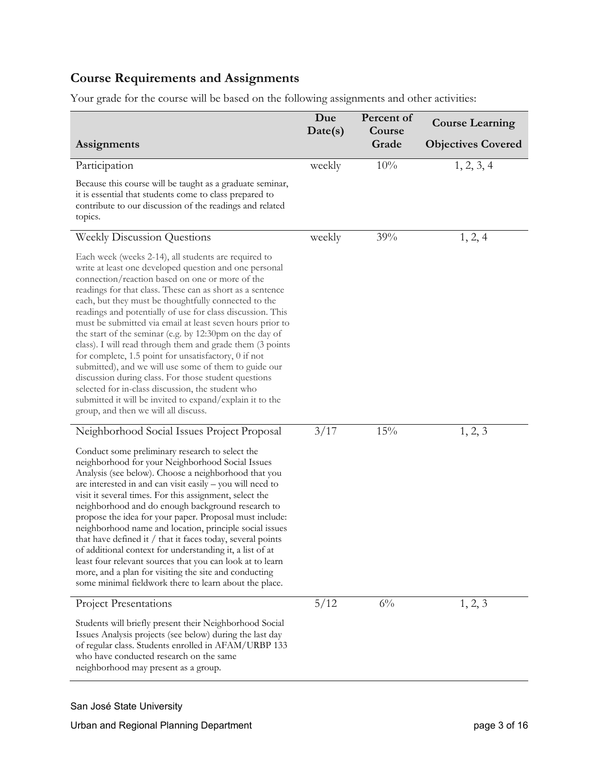# **Course Requirements and Assignments**

Your grade for the course will be based on the following assignments and other activities:

|                                                                                                                                                                                                                                                                                                                                                                                                                                                                                                                                                                                                                                                                                                                                                                                                                                                                             | Due<br>Date(s) | Percent of<br>Course | <b>Course Learning</b>    |
|-----------------------------------------------------------------------------------------------------------------------------------------------------------------------------------------------------------------------------------------------------------------------------------------------------------------------------------------------------------------------------------------------------------------------------------------------------------------------------------------------------------------------------------------------------------------------------------------------------------------------------------------------------------------------------------------------------------------------------------------------------------------------------------------------------------------------------------------------------------------------------|----------------|----------------------|---------------------------|
| Assignments                                                                                                                                                                                                                                                                                                                                                                                                                                                                                                                                                                                                                                                                                                                                                                                                                                                                 |                | Grade                | <b>Objectives Covered</b> |
| Participation                                                                                                                                                                                                                                                                                                                                                                                                                                                                                                                                                                                                                                                                                                                                                                                                                                                               | weekly         | 10%                  | 1, 2, 3, 4                |
| Because this course will be taught as a graduate seminar,<br>it is essential that students come to class prepared to<br>contribute to our discussion of the readings and related<br>topics.                                                                                                                                                                                                                                                                                                                                                                                                                                                                                                                                                                                                                                                                                 |                |                      |                           |
| <b>Weekly Discussion Questions</b>                                                                                                                                                                                                                                                                                                                                                                                                                                                                                                                                                                                                                                                                                                                                                                                                                                          | weekly         | 39%                  | 1, 2, 4                   |
| Each week (weeks 2-14), all students are required to<br>write at least one developed question and one personal<br>connection/reaction based on one or more of the<br>readings for that class. These can as short as a sentence<br>each, but they must be thoughtfully connected to the<br>readings and potentially of use for class discussion. This<br>must be submitted via email at least seven hours prior to<br>the start of the seminar (e.g. by 12:30pm on the day of<br>class). I will read through them and grade them (3 points<br>for complete, 1.5 point for unsatisfactory, 0 if not<br>submitted), and we will use some of them to guide our<br>discussion during class. For those student questions<br>selected for in-class discussion, the student who<br>submitted it will be invited to expand/explain it to the<br>group, and then we will all discuss. |                |                      |                           |
| Neighborhood Social Issues Project Proposal                                                                                                                                                                                                                                                                                                                                                                                                                                                                                                                                                                                                                                                                                                                                                                                                                                 | 3/17           | 15%                  | 1, 2, 3                   |
| Conduct some preliminary research to select the<br>neighborhood for your Neighborhood Social Issues<br>Analysis (see below). Choose a neighborhood that you<br>are interested in and can visit easily - you will need to<br>visit it several times. For this assignment, select the<br>neighborhood and do enough background research to<br>propose the idea for your paper. Proposal must include:<br>neighborhood name and location, principle social issues<br>that have defined it / that it faces today, several points<br>of additional context for understanding it, a list of at<br>least four relevant sources that you can look at to learn<br>more, and a plan for visiting the site and conducting<br>some minimal fieldwork there to learn about the place.                                                                                                    |                |                      |                           |
| <b>Project Presentations</b>                                                                                                                                                                                                                                                                                                                                                                                                                                                                                                                                                                                                                                                                                                                                                                                                                                                | 5/12           | $6\%$                | 1, 2, 3                   |
| Students will briefly present their Neighborhood Social<br>Issues Analysis projects (see below) during the last day<br>of regular class. Students enrolled in AFAM/URBP 133<br>who have conducted research on the same<br>neighborhood may present as a group.                                                                                                                                                                                                                                                                                                                                                                                                                                                                                                                                                                                                              |                |                      |                           |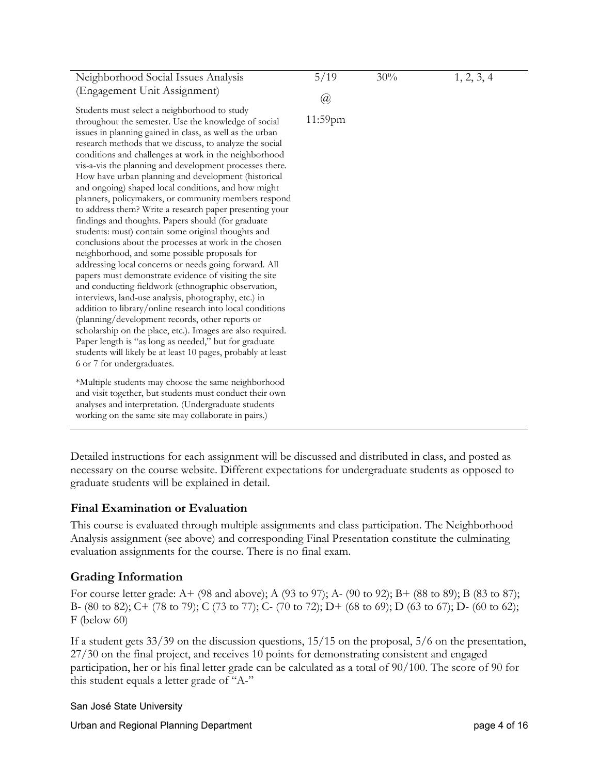| Neighborhood Social Issues Analysis                                                                                                                                                                                                                                                                                                                                                                                                                                                                                                                                                                                                                                                                                                                                                                                                                                                                                                                                                                                                                                                                                                                                                                                                                                                                                                                                          | 5/19                            | 30% | 1, 2, 3, 4 |
|------------------------------------------------------------------------------------------------------------------------------------------------------------------------------------------------------------------------------------------------------------------------------------------------------------------------------------------------------------------------------------------------------------------------------------------------------------------------------------------------------------------------------------------------------------------------------------------------------------------------------------------------------------------------------------------------------------------------------------------------------------------------------------------------------------------------------------------------------------------------------------------------------------------------------------------------------------------------------------------------------------------------------------------------------------------------------------------------------------------------------------------------------------------------------------------------------------------------------------------------------------------------------------------------------------------------------------------------------------------------------|---------------------------------|-----|------------|
| (Engagement Unit Assignment)                                                                                                                                                                                                                                                                                                                                                                                                                                                                                                                                                                                                                                                                                                                                                                                                                                                                                                                                                                                                                                                                                                                                                                                                                                                                                                                                                 |                                 |     |            |
| Students must select a neighborhood to study<br>throughout the semester. Use the knowledge of social<br>issues in planning gained in class, as well as the urban<br>research methods that we discuss, to analyze the social<br>conditions and challenges at work in the neighborhood<br>vis-a-vis the planning and development processes there.<br>How have urban planning and development (historical<br>and ongoing) shaped local conditions, and how might<br>planners, policymakers, or community members respond<br>to address them? Write a research paper presenting your<br>findings and thoughts. Papers should (for graduate<br>students: must) contain some original thoughts and<br>conclusions about the processes at work in the chosen<br>neighborhood, and some possible proposals for<br>addressing local concerns or needs going forward. All<br>papers must demonstrate evidence of visiting the site<br>and conducting fieldwork (ethnographic observation,<br>interviews, land-use analysis, photography, etc.) in<br>addition to library/online research into local conditions<br>(planning/development records, other reports or<br>scholarship on the place, etc.). Images are also required.<br>Paper length is "as long as needed," but for graduate<br>students will likely be at least 10 pages, probably at least<br>6 or 7 for undergraduates. | $^{\textregistered}$<br>11:59pm |     |            |
| *Multiple students may choose the same neighborhood<br>and visit together, but students must conduct their own<br>analyses and interpretation. (Undergraduate students<br>working on the same site may collaborate in pairs.)                                                                                                                                                                                                                                                                                                                                                                                                                                                                                                                                                                                                                                                                                                                                                                                                                                                                                                                                                                                                                                                                                                                                                |                                 |     |            |
|                                                                                                                                                                                                                                                                                                                                                                                                                                                                                                                                                                                                                                                                                                                                                                                                                                                                                                                                                                                                                                                                                                                                                                                                                                                                                                                                                                              |                                 |     |            |

Detailed instructions for each assignment will be discussed and distributed in class, and posted as necessary on the course website. Different expectations for undergraduate students as opposed to graduate students will be explained in detail.

# **Final Examination or Evaluation**

This course is evaluated through multiple assignments and class participation. The Neighborhood Analysis assignment (see above) and corresponding Final Presentation constitute the culminating evaluation assignments for the course. There is no final exam.

# **Grading Information**

For course letter grade: A+ (98 and above); A (93 to 97); A- (90 to 92); B+ (88 to 89); B (83 to 87); B- (80 to 82); C+ (78 to 79); C (73 to 77); C- (70 to 72); D+ (68 to 69); D (63 to 67); D- (60 to 62); F (below 60)

If a student gets 33/39 on the discussion questions, 15/15 on the proposal, 5/6 on the presentation, 27/30 on the final project, and receives 10 points for demonstrating consistent and engaged participation, her or his final letter grade can be calculated as a total of 90/100. The score of 90 for this student equals a letter grade of "A-"

# San José State University

Urban and Regional Planning Department **page 4 of 16** and 16 and 16 and 16 and 16 and 16 and 16 and 16 and 16 and 16 and 16 and 16 and 16 and 16 and 16 and 16 and 16 and 16 and 16 and 16 and 16 and 16 and 16 and 16 and 16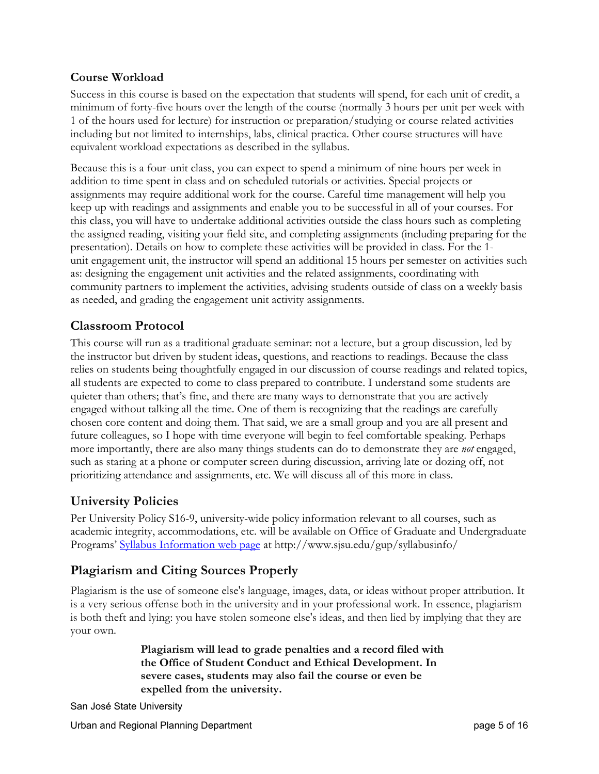# **Course Workload**

Success in this course is based on the expectation that students will spend, for each unit of credit, a minimum of forty-five hours over the length of the course (normally 3 hours per unit per week with 1 of the hours used for lecture) for instruction or preparation/studying or course related activities including but not limited to internships, labs, clinical practica. Other course structures will have equivalent workload expectations as described in the syllabus.

Because this is a four-unit class, you can expect to spend a minimum of nine hours per week in addition to time spent in class and on scheduled tutorials or activities. Special projects or assignments may require additional work for the course. Careful time management will help you keep up with readings and assignments and enable you to be successful in all of your courses. For this class, you will have to undertake additional activities outside the class hours such as completing the assigned reading, visiting your field site, and completing assignments (including preparing for the presentation). Details on how to complete these activities will be provided in class. For the 1 unit engagement unit, the instructor will spend an additional 15 hours per semester on activities such as: designing the engagement unit activities and the related assignments, coordinating with community partners to implement the activities, advising students outside of class on a weekly basis as needed, and grading the engagement unit activity assignments.

# **Classroom Protocol**

This course will run as a traditional graduate seminar: not a lecture, but a group discussion, led by the instructor but driven by student ideas, questions, and reactions to readings. Because the class relies on students being thoughtfully engaged in our discussion of course readings and related topics, all students are expected to come to class prepared to contribute. I understand some students are quieter than others; that's fine, and there are many ways to demonstrate that you are actively engaged without talking all the time. One of them is recognizing that the readings are carefully chosen core content and doing them. That said, we are a small group and you are all present and future colleagues, so I hope with time everyone will begin to feel comfortable speaking. Perhaps more importantly, there are also many things students can do to demonstrate they are *not* engaged, such as staring at a phone or computer screen during discussion, arriving late or dozing off, not prioritizing attendance and assignments, etc. We will discuss all of this more in class.

# **University Policies**

Per University Policy S16-9, university-wide policy information relevant to all courses, such as academic integrity, accommodations, etc. will be available on Office of Graduate and Undergraduate Programs' [Syllabus Information web page](http://www.sjsu.edu/gup/syllabusinfo/) at http://www.sjsu.edu/gup/syllabusinfo/

# **Plagiarism and Citing Sources Properly**

Plagiarism is the use of someone else's language, images, data, or ideas without proper attribution. It is a very serious offense both in the university and in your professional work. In essence, plagiarism is both theft and lying: you have stolen someone else's ideas, and then lied by implying that they are your own.

> **Plagiarism will lead to grade penalties and a record filed with the Office of Student Conduct and Ethical Development. In severe cases, students may also fail the course or even be expelled from the university.**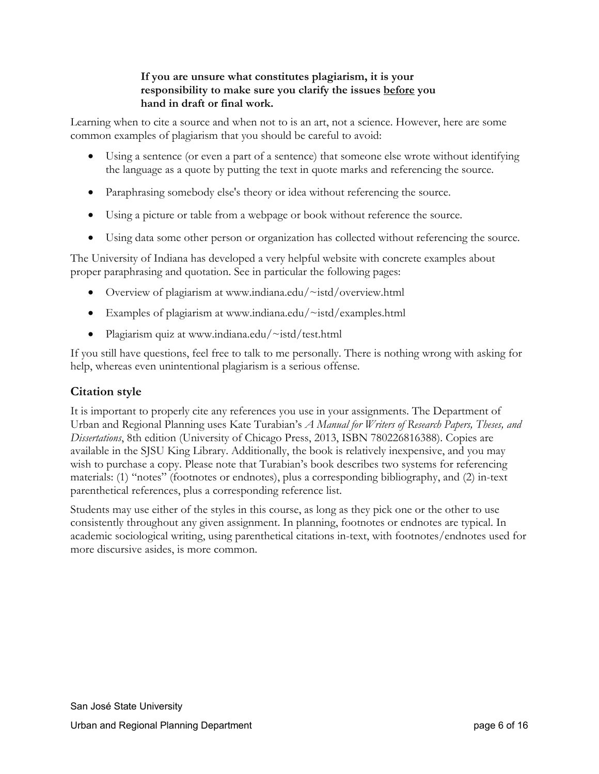# **If you are unsure what constitutes plagiarism, it is your responsibility to make sure you clarify the issues before you hand in draft or final work.**

Learning when to cite a source and when not to is an art, not a science. However, here are some common examples of plagiarism that you should be careful to avoid:

- Using a sentence (or even a part of a sentence) that someone else wrote without identifying the language as a quote by putting the text in quote marks and referencing the source.
- Paraphrasing somebody else's theory or idea without referencing the source.
- Using a picture or table from a webpage or book without reference the source.
- Using data some other person or organization has collected without referencing the source.

The University of Indiana has developed a very helpful website with concrete examples about proper paraphrasing and quotation. See in particular the following pages:

- Overview of plagiarism at [www.indiana.edu/~istd/overview.html](http://www.indiana.edu/%7Eistd/overview.html)
- Examples of plagiarism at [www.indiana.edu/~istd/examples.html](http://www.indiana.edu/%7Eistd/examples.html)
- Plagiarism quiz at [www.indiana.edu/~istd/test.html](http://www.indiana.edu/%7Eistd/test.html)

If you still have questions, feel free to talk to me personally. There is nothing wrong with asking for help, whereas even unintentional plagiarism is a serious offense.

# **Citation style**

It is important to properly cite any references you use in your assignments. The Department of Urban and Regional Planning uses Kate Turabian's *A Manual for Writers of Research Papers, Theses, and Dissertations*, 8th edition (University of Chicago Press, 2013, ISBN 780226816388). Copies are available in the SJSU King Library. Additionally, the book is relatively inexpensive, and you may wish to purchase a copy. Please note that Turabian's book describes two systems for referencing materials: (1) "notes" (footnotes or endnotes), plus a corresponding bibliography, and (2) in-text parenthetical references, plus a corresponding reference list.

Students may use either of the styles in this course, as long as they pick one or the other to use consistently throughout any given assignment. In planning, footnotes or endnotes are typical. In academic sociological writing, using parenthetical citations in-text, with footnotes/endnotes used for more discursive asides, is more common.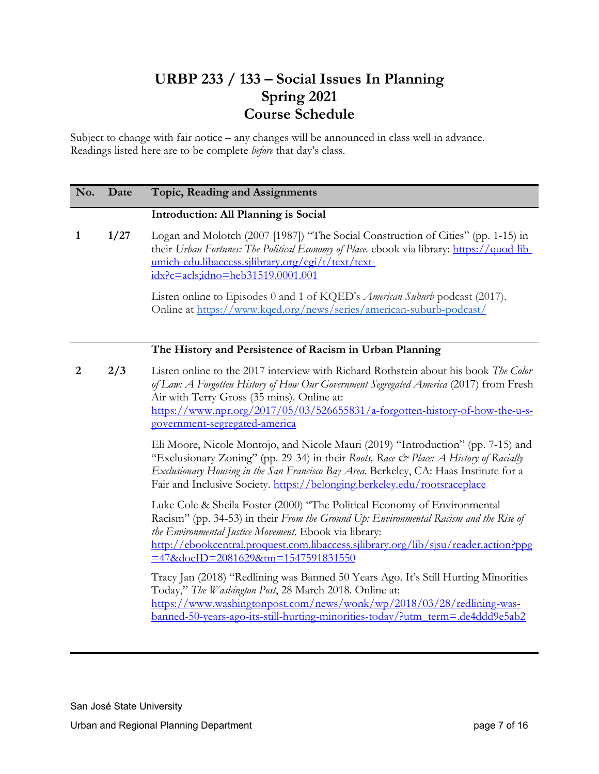# **URBP 233 / 133 – Social Issues In Planning Spring 2021 Course Schedule**

Subject to change with fair notice – any changes will be announced in class well in advance. Readings listed here are to be complete *before* that day's class.

| No. | Date | Topic, Reading and Assignments                                                                                                                                                                                                                                                                                                                           |
|-----|------|----------------------------------------------------------------------------------------------------------------------------------------------------------------------------------------------------------------------------------------------------------------------------------------------------------------------------------------------------------|
|     |      | Introduction: All Planning is Social                                                                                                                                                                                                                                                                                                                     |
| 1   | 1/27 | Logan and Molotch (2007 [1987]) "The Social Construction of Cities" (pp. 1-15) in<br>their Urban Fortunes: The Political Economy of Place. ebook via library: https://quod-lib-<br>umich-edu.libaccess.sjlibrary.org/cgi/t/text/text-<br>idx?c=acls;idno=heb31519.0001.001                                                                               |
|     |      | Listen online to Episodes 0 and 1 of KQED's <i>American Suburb</i> podcast (2017).<br>Online at https://www.kqed.org/news/series/american-suburb-podcast/                                                                                                                                                                                                |
|     |      | The History and Persistence of Racism in Urban Planning                                                                                                                                                                                                                                                                                                  |
| 2   | 2/3  | Listen online to the 2017 interview with Richard Rothstein about his book The Color<br>of Law: A Forgotten History of How Our Government Segregated America (2017) from Fresh<br>Air with Terry Gross (35 mins). Online at:<br>https://www.npr.org/2017/05/03/526655831/a-forgotten-history-of-how-the-u-s-<br>government-segregated-america             |
|     |      | Eli Moore, Nicole Montojo, and Nicole Mauri (2019) "Introduction" (pp. 7-15) and<br>"Exclusionary Zoning" (pp. 29-34) in their Roots, Race & Place: A History of Racially<br>Exclusionary Housing in the San Francisco Bay Area. Berkeley, CA: Haas Institute for a<br>Fair and Inclusive Society. https://belonging.berkeley.edu/rootsraceplace         |
|     |      | Luke Cole & Sheila Foster (2000) "The Political Economy of Environmental<br>Racism" (pp. 34-53) in their From the Ground Up: Environmental Racism and the Rise of<br>the Environmental Justice Movement. Ebook via library:<br>http://ebookcentral.proquest.com.libaccess.sjlibrary.org/lib/sjsu/reader.action?ppg<br>=47&docID=2081629&tm=1547591831550 |
|     |      | Tracy Jan (2018) "Redlining was Banned 50 Years Ago. It's Still Hurting Minorities<br>Today," The Washington Post, 28 March 2018. Online at:<br>https://www.washingtonpost.com/news/wonk/wp/2018/03/28/redlining-was-<br>banned-50-years-ago-its-still-hurting-minorities-today/?utm_term=.de4ddd9e5ab2                                                  |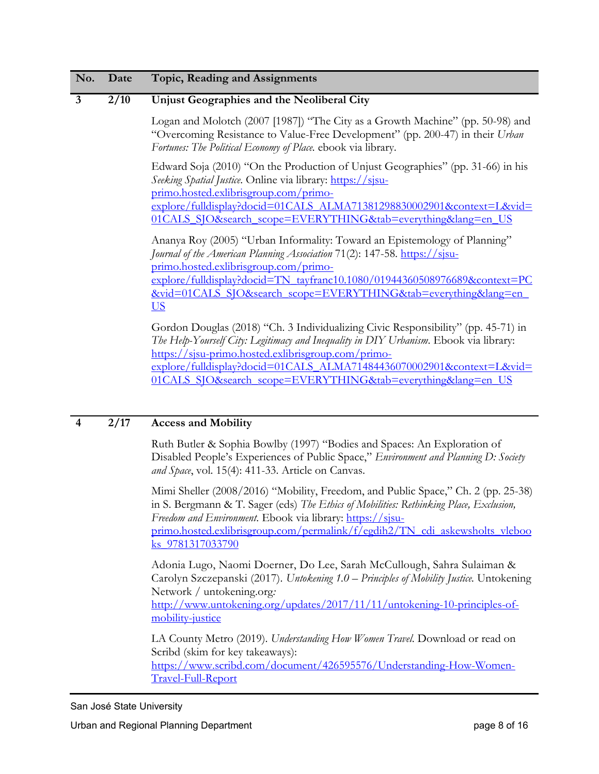### **3 2/10 Unjust Geographies and the Neoliberal City**

Logan and Molotch (2007 [1987]) "The City as a Growth Machine" (pp. 50-98) and "Overcoming Resistance to Value-Free Development" (pp. 200-47) in their *Urban Fortunes: The Political Economy of Place.* ebook via library.

Edward Soja (2010) "On the Production of Unjust Geographies" (pp. 31-66) in his *Seeking Spatial Justice*. Online via library: [https://sjsu](https://sjsu-primo.hosted.exlibrisgroup.com/primo-explore/fulldisplay?docid=01CALS_ALMA71381298830002901&context=L&vid=01CALS_SJO&search_scope=EVERYTHING&tab=everything&lang=en_US)[primo.hosted.exlibrisgroup.com/primo](https://sjsu-primo.hosted.exlibrisgroup.com/primo-explore/fulldisplay?docid=01CALS_ALMA71381298830002901&context=L&vid=01CALS_SJO&search_scope=EVERYTHING&tab=everything&lang=en_US)[explore/fulldisplay?docid=01CALS\\_ALMA71381298830002901&context=L&vid=](https://sjsu-primo.hosted.exlibrisgroup.com/primo-explore/fulldisplay?docid=01CALS_ALMA71381298830002901&context=L&vid=01CALS_SJO&search_scope=EVERYTHING&tab=everything&lang=en_US) [01CALS\\_SJO&search\\_scope=EVERYTHING&tab=everything&lang=en\\_US](https://sjsu-primo.hosted.exlibrisgroup.com/primo-explore/fulldisplay?docid=01CALS_ALMA71381298830002901&context=L&vid=01CALS_SJO&search_scope=EVERYTHING&tab=everything&lang=en_US)

Ananya Roy (2005) "Urban Informality: Toward an Epistemology of Planning" *Journal of the American Planning Association* 71(2): 147-58. **https://sisu**[primo.hosted.exlibrisgroup.com/primo](https://sjsu-primo.hosted.exlibrisgroup.com/primo-explore/fulldisplay?docid=TN_tayfranc10.1080/01944360508976689&context=PC&vid=01CALS_SJO&search_scope=EVERYTHING&tab=everything&lang=en_US)[explore/fulldisplay?docid=TN\\_tayfranc10.1080/01944360508976689&context=PC](https://sjsu-primo.hosted.exlibrisgroup.com/primo-explore/fulldisplay?docid=TN_tayfranc10.1080/01944360508976689&context=PC&vid=01CALS_SJO&search_scope=EVERYTHING&tab=everything&lang=en_US) [&vid=01CALS\\_SJO&search\\_scope=EVERYTHING&tab=everything&lang=en\\_](https://sjsu-primo.hosted.exlibrisgroup.com/primo-explore/fulldisplay?docid=TN_tayfranc10.1080/01944360508976689&context=PC&vid=01CALS_SJO&search_scope=EVERYTHING&tab=everything&lang=en_US) [US](https://sjsu-primo.hosted.exlibrisgroup.com/primo-explore/fulldisplay?docid=TN_tayfranc10.1080/01944360508976689&context=PC&vid=01CALS_SJO&search_scope=EVERYTHING&tab=everything&lang=en_US)

Gordon Douglas (2018) "Ch. 3 Individualizing Civic Responsibility" (pp. 45-71) in *The Help-Yourself City: Legitimacy and Inequality in DIY Urbanism*. Ebook via library: [https://sjsu-primo.hosted.exlibrisgroup.com/primo](https://sjsu-primo.hosted.exlibrisgroup.com/primo-explore/fulldisplay?docid=01CALS_ALMA71484436070002901&context=L&vid=01CALS_SJO&search_scope=EVERYTHING&tab=everything&lang=en_US)[explore/fulldisplay?docid=01CALS\\_ALMA71484436070002901&context=L&vid=](https://sjsu-primo.hosted.exlibrisgroup.com/primo-explore/fulldisplay?docid=01CALS_ALMA71484436070002901&context=L&vid=01CALS_SJO&search_scope=EVERYTHING&tab=everything&lang=en_US) 01CALS\_SJO&search\_scope=EVERYTHING&tab=everything&lang=en\_US

# **4 2/17 Access and Mobility**

Ruth Butler & Sophia Bowlby (1997) "Bodies and Spaces: An Exploration of Disabled People's Experiences of Public Space," *Environment and Planning D: Society and Space*, vol. 15(4): 411-33. Article on Canvas.

Mimi Sheller (2008/2016) "Mobility, Freedom, and Public Space," Ch. 2 (pp. 25-38) in S. Bergmann & T. Sager (eds) *The Ethics of Mobilities: Rethinking Place, Exclusion, Freedom and Environment*. Ebook via library: [https://sjsu](https://sjsu-primo.hosted.exlibrisgroup.com/permalink/f/egdih2/TN_cdi_askewsholts_vlebooks_9781317033790)[primo.hosted.exlibrisgroup.com/permalink/f/egdih2/TN\\_cdi\\_askewsholts\\_vleboo](https://sjsu-primo.hosted.exlibrisgroup.com/permalink/f/egdih2/TN_cdi_askewsholts_vlebooks_9781317033790) [ks\\_9781317033790](https://sjsu-primo.hosted.exlibrisgroup.com/permalink/f/egdih2/TN_cdi_askewsholts_vlebooks_9781317033790)

Adonia Lugo, Naomi Doerner, Do Lee, Sarah McCullough, Sahra Sulaiman & Carolyn Szczepanski (2017). *Untokening 1.0 – Principles of Mobility Justice.* Untokening Network / untokening.org*:*  [http://www.untokening.org/updates/2017/11/11/untokening-10-principles-of](http://www.untokening.org/updates/2017/11/11/untokening-10-principles-of-mobility-justice)[mobility-justice](http://www.untokening.org/updates/2017/11/11/untokening-10-principles-of-mobility-justice)

LA County Metro (2019). *Understanding How Women Travel*. Download or read on Scribd (skim for key takeaways):

[https://www.scribd.com/document/426595576/Understanding-How-Women-](https://www.scribd.com/document/426595576/Understanding-How-Women-Travel-Full-Report)[Travel-Full-Report](https://www.scribd.com/document/426595576/Understanding-How-Women-Travel-Full-Report)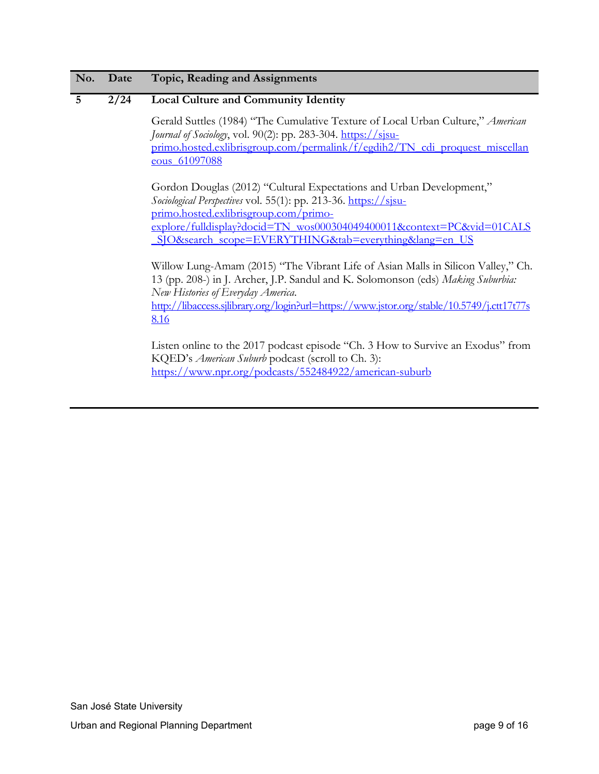# **5 2/24 Local Culture and Community Identity**

Gerald Suttles (1984) "The Cumulative Texture of Local Urban Culture," *American Journal of Sociology*, vol. 90(2): pp. 283-304. https://sisu[primo.hosted.exlibrisgroup.com/permalink/f/egdih2/TN\\_cdi\\_proquest\\_miscellan](https://sjsu-primo.hosted.exlibrisgroup.com/permalink/f/egdih2/TN_cdi_proquest_miscellaneous_61097088) eous 61097088

Gordon Douglas (2012) "Cultural Expectations and Urban Development," *Sociological Perspectives* vol. 55(1): pp. 213-36. [https://sjsu](https://sjsu-primo.hosted.exlibrisgroup.com/primo-explore/fulldisplay?docid=TN_wos000304049400011&context=PC&vid=01CALS_SJO&search_scope=EVERYTHING&tab=everything&lang=en_US)[primo.hosted.exlibrisgroup.com/primo](https://sjsu-primo.hosted.exlibrisgroup.com/primo-explore/fulldisplay?docid=TN_wos000304049400011&context=PC&vid=01CALS_SJO&search_scope=EVERYTHING&tab=everything&lang=en_US)[explore/fulldisplay?docid=TN\\_wos000304049400011&context=PC&vid=01CALS](https://sjsu-primo.hosted.exlibrisgroup.com/primo-explore/fulldisplay?docid=TN_wos000304049400011&context=PC&vid=01CALS_SJO&search_scope=EVERYTHING&tab=everything&lang=en_US) [\\_SJO&search\\_scope=EVERYTHING&tab=everything&lang=en\\_US](https://sjsu-primo.hosted.exlibrisgroup.com/primo-explore/fulldisplay?docid=TN_wos000304049400011&context=PC&vid=01CALS_SJO&search_scope=EVERYTHING&tab=everything&lang=en_US)

Willow Lung-Amam (2015) "The Vibrant Life of Asian Malls in Silicon Valley," Ch. 13 (pp. 208-) in J. Archer, J.P. Sandul and K. Solomonson (eds) *Making Suburbia: New Histories of Everyday America*.

[http://libaccess.sjlibrary.org/login?url=https://www.jstor.org/stable/10.5749/j.ctt17t77s](http://libaccess.sjlibrary.org/login?url=https://www.jstor.org/stable/10.5749/j.ctt17t77s8.16) [8.16](http://libaccess.sjlibrary.org/login?url=https://www.jstor.org/stable/10.5749/j.ctt17t77s8.16)

Listen online to the 2017 podcast episode "Ch. 3 How to Survive an Exodus" from KQED's *American Suburb* podcast (scroll to Ch. 3): <https://www.npr.org/podcasts/552484922/american-suburb>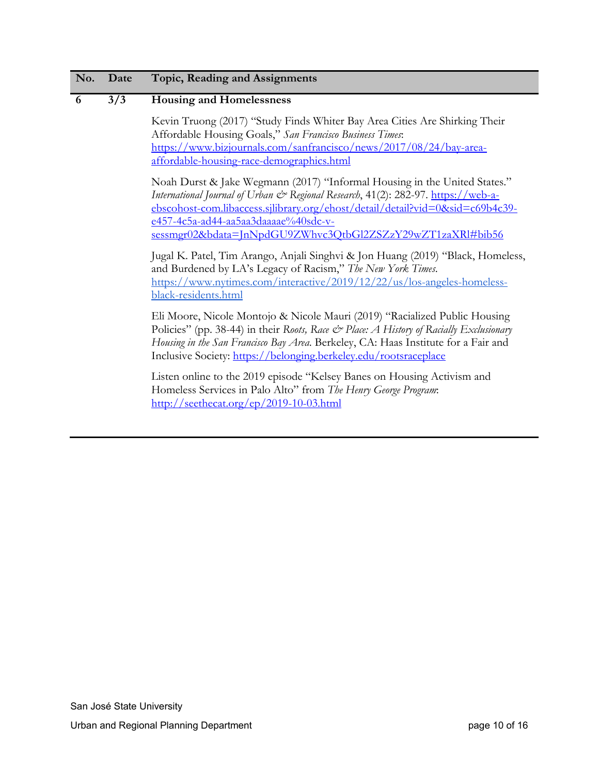#### **6 3/3 Housing and Homelessness**

Kevin Truong (2017) "Study Finds Whiter Bay Area Cities Are Shirking Their Affordable Housing Goals," *San Francisco Business Times*: [https://www.bizjournals.com/sanfrancisco/news/2017/08/24/bay-area](https://www.bizjournals.com/sanfrancisco/news/2017/08/24/bay-area-affordable-housing-race-demographics.html)[affordable-housing-race-demographics.html](https://www.bizjournals.com/sanfrancisco/news/2017/08/24/bay-area-affordable-housing-race-demographics.html)

Noah Durst & Jake Wegmann (2017) "Informal Housing in the United States." *International Journal of Urban & Regional Research*, 41(2): 282-97. [https://web-a](https://web-a-ebscohost-com.libaccess.sjlibrary.org/ehost/detail/detail?vid=0&sid=c69b4c39-e457-4c5a-ad44-aa5aa3daaaae%40sdc-v-sessmgr02&bdata=JnNpdGU9ZWhvc3QtbGl2ZSZzY29wZT1zaXRl#bib56)[ebscohost-com.libaccess.sjlibrary.org/ehost/detail/detail?vid=0&sid=c69b4c39](https://web-a-ebscohost-com.libaccess.sjlibrary.org/ehost/detail/detail?vid=0&sid=c69b4c39-e457-4c5a-ad44-aa5aa3daaaae%40sdc-v-sessmgr02&bdata=JnNpdGU9ZWhvc3QtbGl2ZSZzY29wZT1zaXRl#bib56) [e457-4c5a-ad44-aa5aa3daaaae%40sdc-v](https://web-a-ebscohost-com.libaccess.sjlibrary.org/ehost/detail/detail?vid=0&sid=c69b4c39-e457-4c5a-ad44-aa5aa3daaaae%40sdc-v-sessmgr02&bdata=JnNpdGU9ZWhvc3QtbGl2ZSZzY29wZT1zaXRl#bib56)[sessmgr02&bdata=JnNpdGU9ZWhvc3QtbGl2ZSZzY29wZT1zaXRl#bib56](https://web-a-ebscohost-com.libaccess.sjlibrary.org/ehost/detail/detail?vid=0&sid=c69b4c39-e457-4c5a-ad44-aa5aa3daaaae%40sdc-v-sessmgr02&bdata=JnNpdGU9ZWhvc3QtbGl2ZSZzY29wZT1zaXRl#bib56)

Jugal K. Patel, Tim Arango, Anjali Singhvi & Jon Huang (2019) "Black, Homeless, and Burdened by LA's Legacy of Racism," *The New York Times*. [https://www.nytimes.com/interactive/2019/12/22/us/los-angeles-homeless](https://www.nytimes.com/interactive/2019/12/22/us/los-angeles-homeless-black-residents.html)[black-residents.html](https://www.nytimes.com/interactive/2019/12/22/us/los-angeles-homeless-black-residents.html)

Eli Moore, Nicole Montojo & Nicole Mauri (2019) "Racialized Public Housing Policies" (pp. 38-44) in their *Roots, Race & Place: A History of Racially Exclusionary Housing in the San Francisco Bay Area*. Berkeley, CA: Haas Institute for a Fair and Inclusive Society:<https://belonging.berkeley.edu/rootsraceplace>

Listen online to the 2019 episode "Kelsey Banes on Housing Activism and Homeless Services in Palo Alto" from *The Henry George Program*: <http://seethecat.org/ep/2019-10-03.html>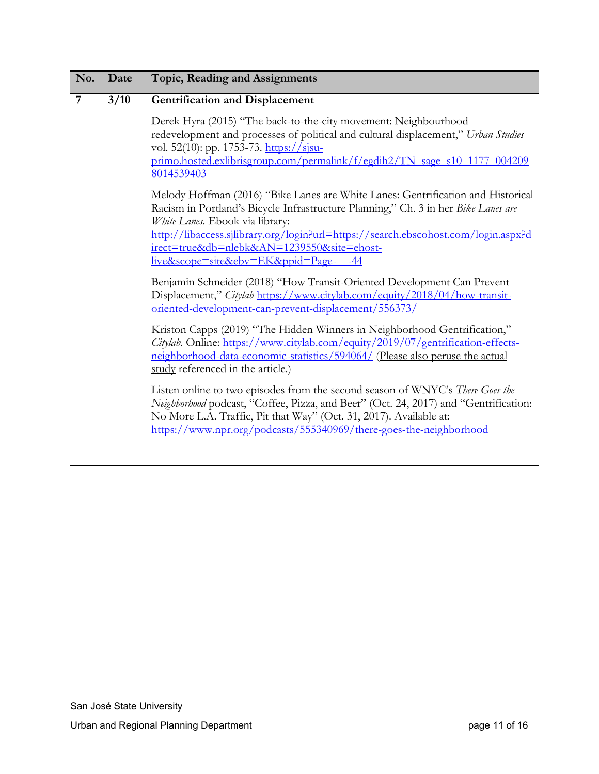#### **7 3/10 Gentrification and Displacement**

Derek Hyra (2015) "The back-to-the-city movement: Neighbourhood redevelopment and processes of political and cultural displacement," *Urban Studies* vol. 52(10): pp. 1753-73. https://sisu[primo.hosted.exlibrisgroup.com/permalink/f/egdih2/TN\\_sage\\_s10\\_1177\\_004209](https://sjsu-primo.hosted.exlibrisgroup.com/permalink/f/egdih2/TN_sage_s10_1177_0042098014539403) [8014539403](https://sjsu-primo.hosted.exlibrisgroup.com/permalink/f/egdih2/TN_sage_s10_1177_0042098014539403)

Melody Hoffman (2016) "Bike Lanes are White Lanes: Gentrification and Historical Racism in Portland's Bicycle Infrastructure Planning," Ch. 3 in her *Bike Lanes are White Lanes*. Ebook via library: [http://libaccess.sjlibrary.org/login?url=https://search.ebscohost.com/login.aspx?d](http://libaccess.sjlibrary.org/login?url=https://search.ebscohost.com/login.aspx?direct=true&db=nlebk&AN=1239550&site=ehost-live&scope=site&ebv=EK&ppid=Page-__-44) [irect=true&db=nlebk&AN=1239550&site=ehost-](http://libaccess.sjlibrary.org/login?url=https://search.ebscohost.com/login.aspx?direct=true&db=nlebk&AN=1239550&site=ehost-live&scope=site&ebv=EK&ppid=Page-__-44)

[live&scope=site&ebv=EK&ppid=Page-\\_\\_-44](http://libaccess.sjlibrary.org/login?url=https://search.ebscohost.com/login.aspx?direct=true&db=nlebk&AN=1239550&site=ehost-live&scope=site&ebv=EK&ppid=Page-__-44)

Benjamin Schneider (2018) "How Transit-Oriented Development Can Prevent Displacement," *Citylab* [https://www.citylab.com/equity/2018/04/how-transit](https://www.citylab.com/equity/2018/04/how-transit-oriented-development-can-prevent-displacement/556373/)[oriented-development-can-prevent-displacement/556373/](https://www.citylab.com/equity/2018/04/how-transit-oriented-development-can-prevent-displacement/556373/)

Kriston Capps (2019) "The Hidden Winners in Neighborhood Gentrification," *Citylab*. Online: [https://www.citylab.com/equity/2019/07/gentrification-effects](https://www.citylab.com/equity/2019/07/gentrification-effects-neighborhood-data-economic-statistics/594064/)[neighborhood-data-economic-statistics/594064/](https://www.citylab.com/equity/2019/07/gentrification-effects-neighborhood-data-economic-statistics/594064/) (Please also peruse the actual study referenced in the article.)

Listen online to two episodes from the second season of WNYC's *There Goes the Neighborhood* podcast, "Coffee, Pizza, and Beer" (Oct. 24, 2017) and "Gentrification: No More L.A. Traffic, Pit that Way" (Oct. 31, 2017). Available at: <https://www.npr.org/podcasts/555340969/there-goes-the-neighborhood>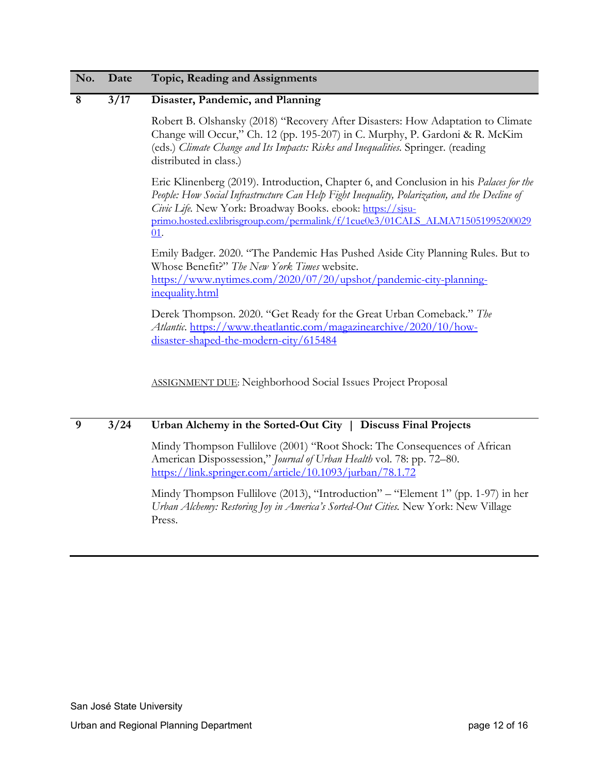#### **8 3/17 Disaster, Pandemic, and Planning**

Robert B. Olshansky (2018) "Recovery After Disasters: How Adaptation to Climate Change will Occur," Ch. 12 (pp. 195-207) in C. Murphy, P. Gardoni & R. McKim (eds.) *Climate Change and Its Impacts: Risks and Inequalities.* Springer. (reading distributed in class.)

Eric Klinenberg (2019). Introduction, Chapter 6, and Conclusion in his *Palaces for the People: How Social Infrastructure Can Help Fight Inequality, Polarization, and the Decline of Civic Life.* New York: Broadway Books. ebook: [https://sjsu](https://sjsu-primo.hosted.exlibrisgroup.com/permalink/f/1cue0e3/01CALS_ALMA71505199520002901)[primo.hosted.exlibrisgroup.com/permalink/f/1cue0e3/01CALS\\_ALMA715051995200029](https://sjsu-primo.hosted.exlibrisgroup.com/permalink/f/1cue0e3/01CALS_ALMA71505199520002901) [01.](https://sjsu-primo.hosted.exlibrisgroup.com/permalink/f/1cue0e3/01CALS_ALMA71505199520002901)

Emily Badger. 2020. "The Pandemic Has Pushed Aside City Planning Rules. But to Whose Benefit?" *The New York Times* website. [https://www.nytimes.com/2020/07/20/upshot/pandemic-city-planning](https://www.nytimes.com/2020/07/20/upshot/pandemic-city-planning-inequality.html)[inequality.html](https://www.nytimes.com/2020/07/20/upshot/pandemic-city-planning-inequality.html)

Derek Thompson. 2020. "Get Ready for the Great Urban Comeback." *The Atlantic*. [https://www.theatlantic.com/magazinearchive/2020/10/how](https://www.theatlantic.com/magazinearchive/2020/10/how-disaster-shaped-the-modern-city/615484)[disaster-shaped-the-modern-city/615484](https://www.theatlantic.com/magazinearchive/2020/10/how-disaster-shaped-the-modern-city/615484)

ASSIGNMENT DUE: Neighborhood Social Issues Project Proposal

# **9 3/24 Urban Alchemy in the Sorted-Out City | Discuss Final Projects**

Mindy Thompson Fullilove (2001) "Root Shock: The Consequences of African American Dispossession," *Journal of Urban Health* vol. 78: pp. 72–80. <https://link.springer.com/article/10.1093/jurban/78.1.72>

Mindy Thompson Fullilove (2013), "Introduction" – "Element 1" (pp. 1-97) in her *Urban Alchemy: Restoring Joy in America's Sorted-Out Cities.* New York: New Village Press.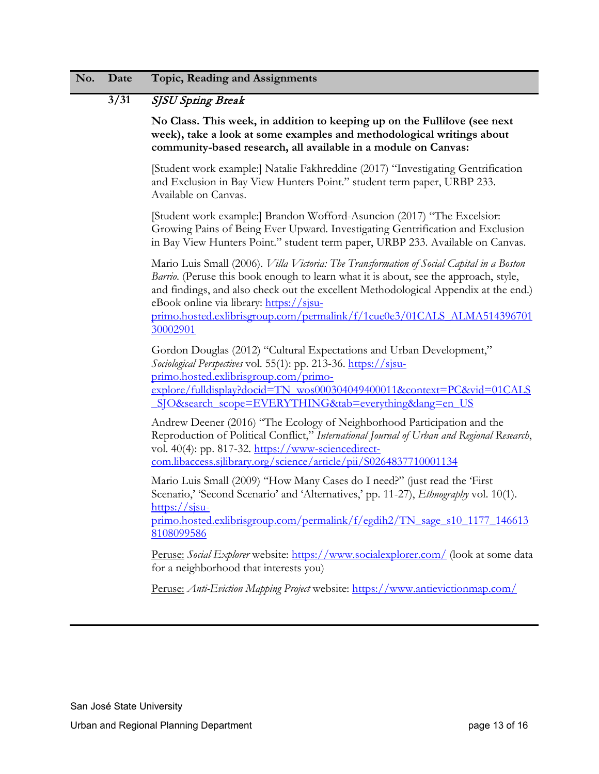# **3/31** SJSU Spring Break

**No Class. This week, in addition to keeping up on the Fullilove (see next week), take a look at some examples and methodological writings about community-based research, all available in a module on Canvas:**

[Student work example:] Natalie Fakhreddine (2017) "Investigating Gentrification and Exclusion in Bay View Hunters Point." student term paper, URBP 233. Available on Canvas.

[Student work example:] Brandon Wofford-Asuncion (2017) "The Excelsior: Growing Pains of Being Ever Upward. Investigating Gentrification and Exclusion in Bay View Hunters Point." student term paper, URBP 233. Available on Canvas.

Mario Luis Small (2006). *Villa Victoria: The Transformation of Social Capital in a Boston Barrio*. (Peruse this book enough to learn what it is about, see the approach, style, and findings, and also check out the excellent Methodological Appendix at the end.) eBook online via library: [https://sjsu-](https://sjsu-primo.hosted.exlibrisgroup.com/permalink/f/1cue0e3/01CALS_ALMA51439670130002901)

[primo.hosted.exlibrisgroup.com/permalink/f/1cue0e3/01CALS\\_ALMA514396701](https://sjsu-primo.hosted.exlibrisgroup.com/permalink/f/1cue0e3/01CALS_ALMA51439670130002901) [30002901](https://sjsu-primo.hosted.exlibrisgroup.com/permalink/f/1cue0e3/01CALS_ALMA51439670130002901)

Gordon Douglas (2012) "Cultural Expectations and Urban Development," *Sociological Perspectives* vol. 55(1): pp. 213-36. [https://sjsu](https://sjsu-primo.hosted.exlibrisgroup.com/primo-explore/fulldisplay?docid=TN_wos000304049400011&context=PC&vid=01CALS_SJO&search_scope=EVERYTHING&tab=everything&lang=en_US)[primo.hosted.exlibrisgroup.com/primo](https://sjsu-primo.hosted.exlibrisgroup.com/primo-explore/fulldisplay?docid=TN_wos000304049400011&context=PC&vid=01CALS_SJO&search_scope=EVERYTHING&tab=everything&lang=en_US)[explore/fulldisplay?docid=TN\\_wos000304049400011&context=PC&vid=01CALS](https://sjsu-primo.hosted.exlibrisgroup.com/primo-explore/fulldisplay?docid=TN_wos000304049400011&context=PC&vid=01CALS_SJO&search_scope=EVERYTHING&tab=everything&lang=en_US) SJO&search\_scope=EVERYTHING&tab=everything&lang=en\_US

Andrew Deener (2016) "The Ecology of Neighborhood Participation and the Reproduction of Political Conflict," *International Journal of Urban and Regional Research*, vol. 40(4): pp. 817-32. [https://www-sciencedirect](https://www-sciencedirect-com.libaccess.sjlibrary.org/science/article/pii/S0264837710001134)[com.libaccess.sjlibrary.org/science/article/pii/S0264837710001134](https://www-sciencedirect-com.libaccess.sjlibrary.org/science/article/pii/S0264837710001134)

Mario Luis Small (2009) "How Many Cases do I need?" (just read the 'First Scenario,' 'Second Scenario' and 'Alternatives,' pp. 11-27), *Ethnography* vol. 10(1). [https://sjsu-](https://sjsu-primo.hosted.exlibrisgroup.com/permalink/f/egdih2/TN_sage_s10_1177_1466138108099586)

[primo.hosted.exlibrisgroup.com/permalink/f/egdih2/TN\\_sage\\_s10\\_1177\\_146613](https://sjsu-primo.hosted.exlibrisgroup.com/permalink/f/egdih2/TN_sage_s10_1177_1466138108099586) [8108099586](https://sjsu-primo.hosted.exlibrisgroup.com/permalink/f/egdih2/TN_sage_s10_1177_1466138108099586)

Peruse: *Social Explorer* website:<https://www.socialexplorer.com/> (look at some data for a neighborhood that interests you)

Peruse: *Anti-Eviction Mapping Project* website:<https://www.antievictionmap.com/>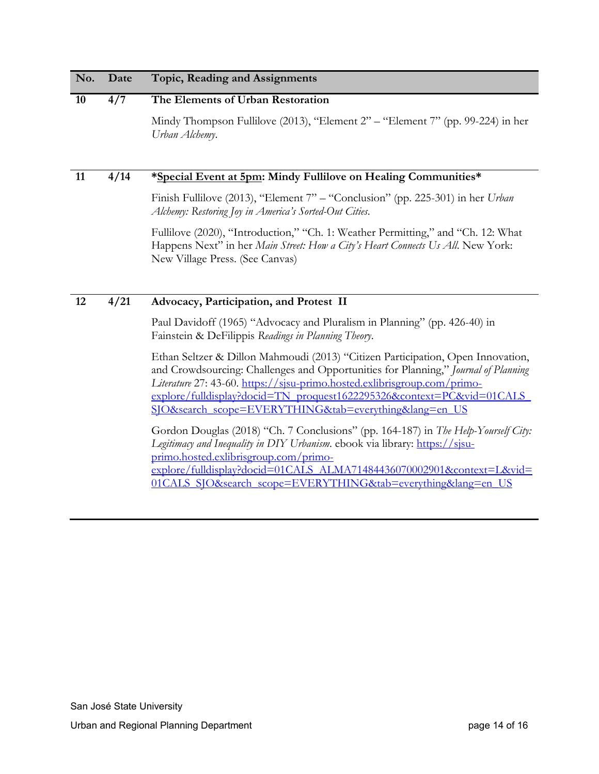| No. | Date | Topic, Reading and Assignments                                                                                                                                                                                                                                                                                                                                                  |
|-----|------|---------------------------------------------------------------------------------------------------------------------------------------------------------------------------------------------------------------------------------------------------------------------------------------------------------------------------------------------------------------------------------|
| 10  | 4/7  | The Elements of Urban Restoration                                                                                                                                                                                                                                                                                                                                               |
|     |      | Mindy Thompson Fullilove (2013), "Element 2" - "Element 7" (pp. 99-224) in her<br>Urban Alchemy.                                                                                                                                                                                                                                                                                |
| 11  | 4/14 | *Special Event at 5pm: Mindy Fullilove on Healing Communities*                                                                                                                                                                                                                                                                                                                  |
|     |      | Finish Fullilove (2013), "Element 7" - "Conclusion" (pp. 225-301) in her Urban<br>Alchemy: Restoring Joy in America's Sorted-Out Cities.                                                                                                                                                                                                                                        |
|     |      | Fullilove (2020), "Introduction," "Ch. 1: Weather Permitting," and "Ch. 12: What<br>Happens Next" in her Main Street: How a City's Heart Connects Us All. New York:<br>New Village Press. (See Canvas)                                                                                                                                                                          |
| 12  | 4/21 | Advocacy, Participation, and Protest II                                                                                                                                                                                                                                                                                                                                         |
|     |      | Paul Davidoff (1965) "Advocacy and Pluralism in Planning" (pp. 426-40) in<br>Fainstein & DeFilippis Readings in Planning Theory.                                                                                                                                                                                                                                                |
|     |      | Ethan Seltzer & Dillon Mahmoudi (2013) "Citizen Participation, Open Innovation,<br>and Crowdsourcing: Challenges and Opportunities for Planning," Journal of Planning<br>Literature 27: 43-60. https://sjsu-primo.hosted.exlibrisgroup.com/primo-<br>explore/fulldisplay?docid=TN_proquest1622295326&context=PC&vid=01CALS<br>SJO&search scope=EVERYTHING&tab=everything⟨=en US |
|     |      | Gordon Douglas (2018) "Ch. 7 Conclusions" (pp. 164-187) in The Help-Yourself City:<br>Legitimacy and Inequality in DIY Urbanism. ebook via library: https://sjsu-<br>primo.hosted.exlibrisgroup.com/primo-<br>$(0.1111 - 1.21 - 1.049170 - 17351744044060700000040)$                                                                                                            |

[explore/fulldisplay?docid=01CALS\\_ALMA71484436070002901&context=L&vid=](https://sjsu-primo.hosted.exlibrisgroup.com/primo-explore/fulldisplay?docid=01CALS_ALMA71484436070002901&context=L&vid=01CALS_SJO&search_scope=EVERYTHING&tab=everything&lang=en_US) 01CALS\_SJO&search\_scope=EVERYTHING&tab=everything&lang=en\_US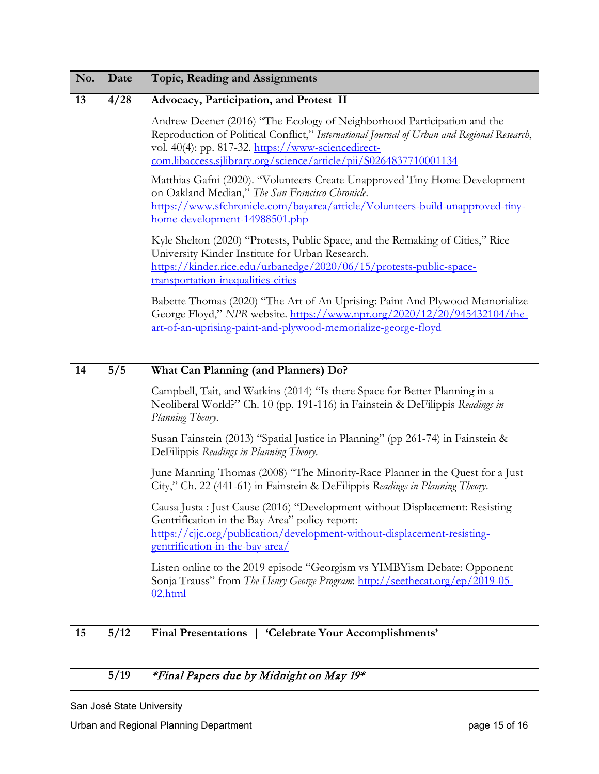#### **13 4/28 Advocacy, Participation, and Protest II**

Andrew Deener (2016) "The Ecology of Neighborhood Participation and the Reproduction of Political Conflict," *International Journal of Urban and Regional Research*, vol. 40(4): pp. 817-32. [https://www-sciencedirect](https://www-sciencedirect-com.libaccess.sjlibrary.org/science/article/pii/S0264837710001134)[com.libaccess.sjlibrary.org/science/article/pii/S0264837710001134](https://www-sciencedirect-com.libaccess.sjlibrary.org/science/article/pii/S0264837710001134)

Matthias Gafni (2020). "Volunteers Create Unapproved Tiny Home Development on Oakland Median," *The San Francisco Chronicle*. [https://www.sfchronicle.com/bayarea/article/Volunteers-build-unapproved-tiny](https://www.sfchronicle.com/bayarea/article/Volunteers-build-unapproved-tiny-home-development-14988501.php)[home-development-14988501.php](https://www.sfchronicle.com/bayarea/article/Volunteers-build-unapproved-tiny-home-development-14988501.php)

Kyle Shelton (2020) "Protests, Public Space, and the Remaking of Cities," Rice University Kinder Institute for Urban Research. [https://kinder.rice.edu/urbanedge/2020/06/15/protests-public-space](https://kinder.rice.edu/urbanedge/2020/06/15/protests-public-space-transportation-inequalities-cities)[transportation-inequalities-cities](https://kinder.rice.edu/urbanedge/2020/06/15/protests-public-space-transportation-inequalities-cities)

Babette Thomas (2020) "The Art of An Uprising: Paint And Plywood Memorialize George Floyd," *NPR* website. [https://www.npr.org/2020/12/20/945432104/the](https://www.npr.org/2020/12/20/945432104/the-art-of-an-uprising-paint-and-plywood-memorialize-george-floyd)[art-of-an-uprising-paint-and-plywood-memorialize-george-floyd](https://www.npr.org/2020/12/20/945432104/the-art-of-an-uprising-paint-and-plywood-memorialize-george-floyd)

#### **14 5/5 What Can Planning (and Planners) Do?**

Campbell, Tait, and Watkins (2014) "Is there Space for Better Planning in a Neoliberal World?" Ch. 10 (pp. 191-116) in Fainstein & DeFilippis *Readings in Planning Theory*.

Susan Fainstein (2013) "Spatial Justice in Planning" (pp 261-74) in Fainstein & DeFilippis *Readings in Planning Theory*.

June Manning Thomas (2008) "The Minority-Race Planner in the Quest for a Just City," Ch. 22 (441-61) in Fainstein & DeFilippis *Readings in Planning Theory*.

Causa Justa : Just Cause (2016) "Development without Displacement: Resisting Gentrification in the Bay Area" policy report: [https://cjjc.org/publication/development-without-displacement-resisting](https://cjjc.org/publication/development-without-displacement-resisting-gentrification-in-the-bay-area/)[gentrification-in-the-bay-area/](https://cjjc.org/publication/development-without-displacement-resisting-gentrification-in-the-bay-area/)

Listen online to the 2019 episode "Georgism vs YIMBYism Debate: Opponent Sonja Trauss" from *The Henry George Program*: [http://seethecat.org/ep/2019-05-](http://seethecat.org/ep/2019-05-02.html) [02.html](http://seethecat.org/ep/2019-05-02.html)

#### **15 5/12 Final Presentations | 'Celebrate Your Accomplishments'**

#### **5/19** \*Final Papers due by Midnight on May 19\*